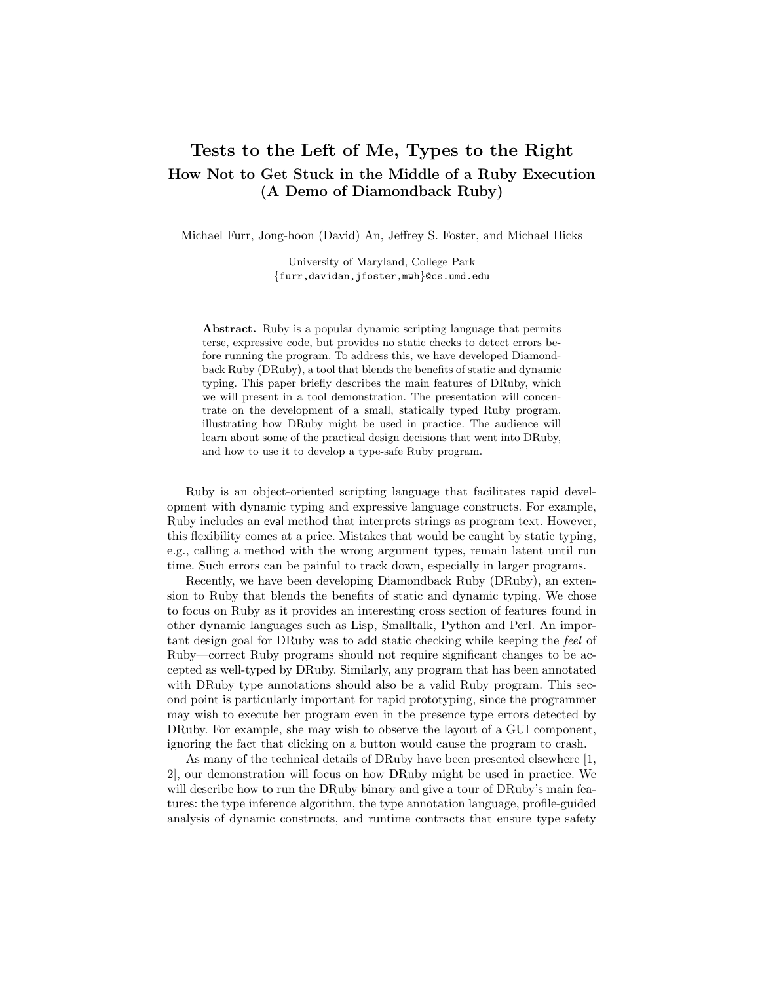## Tests to the Left of Me, Types to the Right How Not to Get Stuck in the Middle of a Ruby Execution (A Demo of Diamondback Ruby)

Michael Furr, Jong-hoon (David) An, Jeffrey S. Foster, and Michael Hicks

University of Maryland, College Park {furr,davidan,jfoster,mwh}@cs.umd.edu

Abstract. Ruby is a popular dynamic scripting language that permits terse, expressive code, but provides no static checks to detect errors before running the program. To address this, we have developed Diamondback Ruby (DRuby), a tool that blends the benefits of static and dynamic typing. This paper briefly describes the main features of DRuby, which we will present in a tool demonstration. The presentation will concentrate on the development of a small, statically typed Ruby program, illustrating how DRuby might be used in practice. The audience will learn about some of the practical design decisions that went into DRuby, and how to use it to develop a type-safe Ruby program.

Ruby is an object-oriented scripting language that facilitates rapid development with dynamic typing and expressive language constructs. For example, Ruby includes an eval method that interprets strings as program text. However, this flexibility comes at a price. Mistakes that would be caught by static typing, e.g., calling a method with the wrong argument types, remain latent until run time. Such errors can be painful to track down, especially in larger programs.

Recently, we have been developing Diamondback Ruby (DRuby), an extension to Ruby that blends the benefits of static and dynamic typing. We chose to focus on Ruby as it provides an interesting cross section of features found in other dynamic languages such as Lisp, Smalltalk, Python and Perl. An important design goal for DRuby was to add static checking while keeping the feel of Ruby—correct Ruby programs should not require significant changes to be accepted as well-typed by DRuby. Similarly, any program that has been annotated with DRuby type annotations should also be a valid Ruby program. This second point is particularly important for rapid prototyping, since the programmer may wish to execute her program even in the presence type errors detected by DRuby. For example, she may wish to observe the layout of a GUI component, ignoring the fact that clicking on a button would cause the program to crash.

As many of the technical details of DRuby have been presented elsewhere [1, 2], our demonstration will focus on how DRuby might be used in practice. We will describe how to run the DRuby binary and give a tour of DRuby's main features: the type inference algorithm, the type annotation language, profile-guided analysis of dynamic constructs, and runtime contracts that ensure type safety